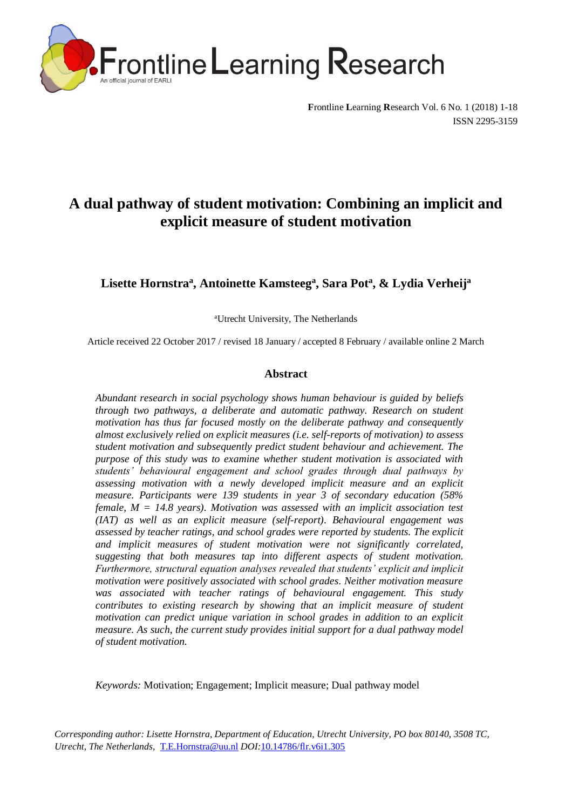

**F**rontline **L**earning **R**esearch Vol. 6 No. 1 (2018) 1-18 ISSN 2295-3159

# **A dual pathway of student motivation: Combining an implicit and explicit measure of student motivation**

**Lisette Hornstra<sup>a</sup> , Antoinette Kamsteeg<sup>a</sup> , Sara Pot<sup>a</sup> , & Lydia Verheij<sup>a</sup>**

<sup>a</sup>Utrecht University, The Netherlands

Article received 22 October 2017 / revised 18 January / accepted 8 February / available online 2 March

# **Abstract**

*Abundant research in social psychology shows human behaviour is guided by beliefs through two pathways, a deliberate and automatic pathway. Research on student motivation has thus far focused mostly on the deliberate pathway and consequently almost exclusively relied on explicit measures (i.e. self-reports of motivation) to assess student motivation and subsequently predict student behaviour and achievement. The purpose of this study was to examine whether student motivation is associated with students' behavioural engagement and school grades through dual pathways by assessing motivation with a newly developed implicit measure and an explicit measure. Participants were 139 students in year 3 of secondary education (58% female, M = 14.8 years). Motivation was assessed with an implicit association test (IAT) as well as an explicit measure (self-report). Behavioural engagement was assessed by teacher ratings, and school grades were reported by students. The explicit and implicit measures of student motivation were not significantly correlated, suggesting that both measures tap into different aspects of student motivation. Furthermore, structural equation analyses revealed that students' explicit and implicit motivation were positively associated with school grades. Neither motivation measure was associated with teacher ratings of behavioural engagement. This study contributes to existing research by showing that an implicit measure of student motivation can predict unique variation in school grades in addition to an explicit measure. As such, the current study provides initial support for a dual pathway model of student motivation.*

*Keywords:* Motivation; Engagement; Implicit measure; Dual pathway model

*Corresponding author: Lisette Hornstra, Department of Education, Utrecht University, PO box 80140, 3508 TC, Utrecht, The Netherlands,* [T.E.Hornstra@uu.nl](mailto:T.E.Hornstra@uu.nl) *DOI:*10.14786/flr.v6i1.305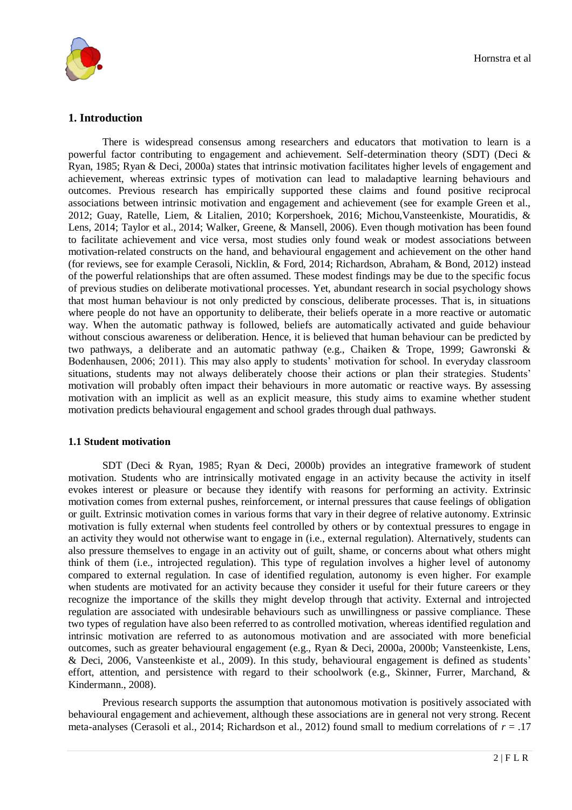

# **1. Introduction**

There is widespread consensus among researchers and educators that motivation to learn is a powerful factor contributing to engagement and achievement. Self-determination theory (SDT) (Deci & Ryan, 1985; Ryan & Deci, 2000a) states that intrinsic motivation facilitates higher levels of engagement and achievement, whereas extrinsic types of motivation can lead to maladaptive learning behaviours and outcomes. Previous research has empirically supported these claims and found positive reciprocal associations between intrinsic motivation and engagement and achievement (see for example Green et al., 2012; Guay, Ratelle, Liem, & Litalien, 2010; Korpershoek, 2016; Michou,Vansteenkiste, Mouratidis, & Lens, 2014; Taylor et al., 2014; Walker, Greene, & Mansell, 2006). Even though motivation has been found to facilitate achievement and vice versa, most studies only found weak or modest associations between motivation-related constructs on the hand, and behavioural engagement and achievement on the other hand (for reviews, see for example Cerasoli, Nicklin, & Ford, 2014; Richardson, Abraham, & Bond, 2012) instead of the powerful relationships that are often assumed. These modest findings may be due to the specific focus of previous studies on deliberate motivational processes. Yet, abundant research in social psychology shows that most human behaviour is not only predicted by conscious, deliberate processes. That is, in situations where people do not have an opportunity to deliberate, their beliefs operate in a more reactive or automatic way. When the automatic pathway is followed, beliefs are automatically activated and guide behaviour without conscious awareness or deliberation. Hence, it is believed that human behaviour can be predicted by two pathways, a deliberate and an automatic pathway (e.g., Chaiken & Trope, 1999; Gawronski & Bodenhausen, 2006; 2011). This may also apply to students' motivation for school. In everyday classroom situations, students may not always deliberately choose their actions or plan their strategies. Students' motivation will probably often impact their behaviours in more automatic or reactive ways. By assessing motivation with an implicit as well as an explicit measure, this study aims to examine whether student motivation predicts behavioural engagement and school grades through dual pathways.

#### **1.1 Student motivation**

SDT (Deci & Ryan, 1985; Ryan & Deci, 2000b) provides an integrative framework of student motivation. Students who are intrinsically motivated engage in an activity because the activity in itself evokes interest or pleasure or because they identify with reasons for performing an activity. Extrinsic motivation comes from external pushes, reinforcement, or internal pressures that cause feelings of obligation or guilt. Extrinsic motivation comes in various forms that vary in their degree of relative autonomy. Extrinsic motivation is fully external when students feel controlled by others or by contextual pressures to engage in an activity they would not otherwise want to engage in (i.e., external regulation). Alternatively, students can also pressure themselves to engage in an activity out of guilt, shame, or concerns about what others might think of them (i.e., introjected regulation). This type of regulation involves a higher level of autonomy compared to external regulation. In case of identified regulation, autonomy is even higher. For example when students are motivated for an activity because they consider it useful for their future careers or they recognize the importance of the skills they might develop through that activity. External and introjected regulation are associated with undesirable behaviours such as unwillingness or passive compliance. These two types of regulation have also been referred to as controlled motivation, whereas identified regulation and intrinsic motivation are referred to as autonomous motivation and are associated with more beneficial outcomes, such as greater behavioural engagement (e.g., Ryan & Deci, 2000a, 2000b; Vansteenkiste, Lens, & Deci, 2006, Vansteenkiste et al., 2009). In this study, behavioural engagement is defined as students' effort, attention, and persistence with regard to their schoolwork (e.g., Skinner, Furrer, Marchand, & Kindermann., 2008).

Previous research supports the assumption that autonomous motivation is positively associated with behavioural engagement and achievement, although these associations are in general not very strong. Recent meta-analyses (Cerasoli et al., 2014; Richardson et al., 2012) found small to medium correlations of *r* = .17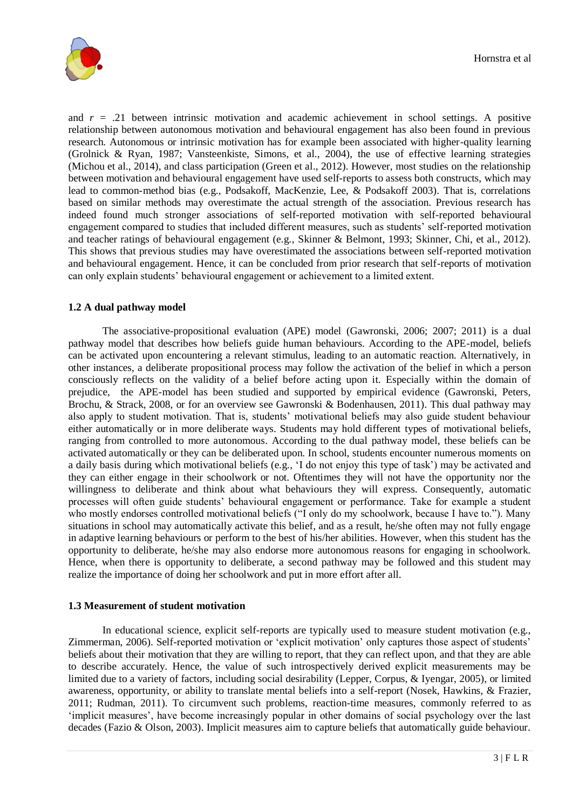

and  $r = .21$  between intrinsic motivation and academic achievement in school settings. A positive relationship between autonomous motivation and behavioural engagement has also been found in previous research. Autonomous or intrinsic motivation has for example been associated with higher-quality learning (Grolnick & Ryan, 1987; Vansteenkiste, Simons, et al., 2004), the use of effective learning strategies (Michou et al., 2014), and class participation (Green et al., 2012). However, most studies on the relationship between motivation and behavioural engagement have used self-reports to assess both constructs, which may lead to common-method bias (e.g., Podsakoff, MacKenzie, Lee, & Podsakoff 2003). That is, correlations based on similar methods may overestimate the actual strength of the association. Previous research has indeed found much stronger associations of self-reported motivation with self-reported behavioural engagement compared to studies that included different measures, such as students' self-reported motivation and teacher ratings of behavioural engagement (e.g., Skinner & Belmont, 1993; Skinner, Chi, et al., 2012). This shows that previous studies may have overestimated the associations between self-reported motivation and behavioural engagement. Hence, it can be concluded from prior research that self-reports of motivation can only explain students' behavioural engagement or achievement to a limited extent.

# **1.2 A dual pathway model**

The associative-propositional evaluation (APE) model (Gawronski, 2006; 2007; 2011) is a dual pathway model that describes how beliefs guide human behaviours. According to the APE-model, beliefs can be activated upon encountering a relevant stimulus, leading to an automatic reaction. Alternatively, in other instances, a deliberate propositional process may follow the activation of the belief in which a person consciously reflects on the validity of a belief before acting upon it. Especially within the domain of prejudice, the APE-model has been studied and supported by empirical evidence (Gawronski, Peters, Brochu, & Strack, 2008, or for an overview see Gawronski & Bodenhausen, 2011). This dual pathway may also apply to student motivation. That is, students' motivational beliefs may also guide student behaviour either automatically or in more deliberate ways. Students may hold different types of motivational beliefs, ranging from controlled to more autonomous. According to the dual pathway model, these beliefs can be activated automatically or they can be deliberated upon. In school, students encounter numerous moments on a daily basis during which motivational beliefs (e.g., 'I do not enjoy this type of task') may be activated and they can either engage in their schoolwork or not. Oftentimes they will not have the opportunity nor the willingness to deliberate and think about what behaviours they will express. Consequently, automatic processes will often guide students' behavioural engagement or performance. Take for example a student who mostly endorses controlled motivational beliefs ("I only do my schoolwork, because I have to."). Many situations in school may automatically activate this belief, and as a result, he/she often may not fully engage in adaptive learning behaviours or perform to the best of his/her abilities. However, when this student has the opportunity to deliberate, he/she may also endorse more autonomous reasons for engaging in schoolwork. Hence, when there is opportunity to deliberate, a second pathway may be followed and this student may realize the importance of doing her schoolwork and put in more effort after all.

#### **1.3 Measurement of student motivation**

In educational science, explicit self-reports are typically used to measure student motivation (e.g., Zimmerman, 2006). Self-reported motivation or 'explicit motivation' only captures those aspect of students' beliefs about their motivation that they are willing to report, that they can reflect upon, and that they are able to describe accurately. Hence, the value of such introspectively derived explicit measurements may be limited due to a variety of factors, including social desirability (Lepper, Corpus, & Iyengar, 2005), or limited awareness, opportunity, or ability to translate mental beliefs into a self-report (Nosek, Hawkins, & Frazier, 2011; Rudman, 2011). To circumvent such problems, reaction-time measures, commonly referred to as 'implicit measures', have become increasingly popular in other domains of social psychology over the last decades (Fazio & Olson, 2003). Implicit measures aim to capture beliefs that automatically guide behaviour.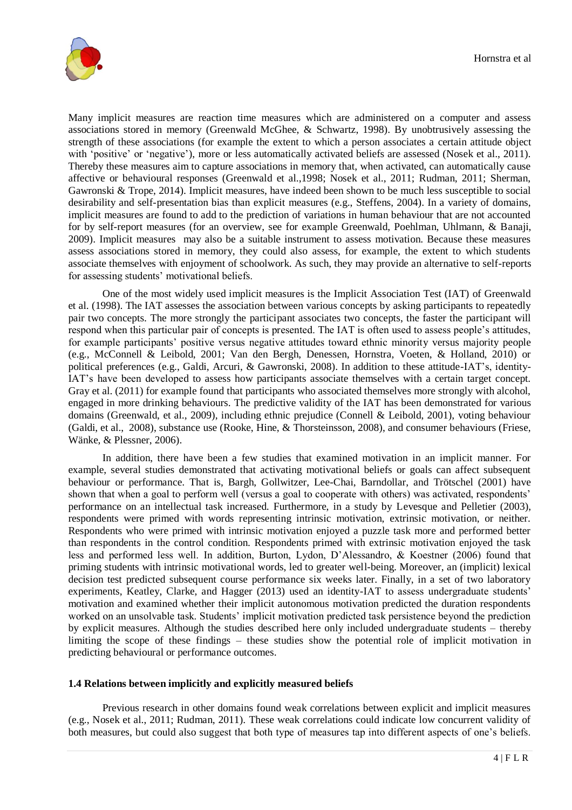

Many implicit measures are reaction time measures which are administered on a computer and assess associations stored in memory (Greenwald McGhee, & Schwartz, 1998). By unobtrusively assessing the strength of these associations (for example the extent to which a person associates a certain attitude object with 'positive' or 'negative'), more or less automatically activated beliefs are assessed (Nosek et al., 2011). Thereby these measures aim to capture associations in memory that, when activated, can automatically cause affective or behavioural responses (Greenwald et al.,1998; Nosek et al., 2011; Rudman, 2011; Sherman, Gawronski & Trope, 2014). Implicit measures, have indeed been shown to be much less susceptible to social desirability and self-presentation bias than explicit measures (e.g., Steffens, 2004). In a variety of domains, implicit measures are found to add to the prediction of variations in human behaviour that are not accounted for by self-report measures (for an overview, see for example Greenwald, Poehlman, Uhlmann, & Banaji, 2009). Implicit measures may also be a suitable instrument to assess motivation. Because these measures assess associations stored in memory, they could also assess, for example, the extent to which students associate themselves with enjoyment of schoolwork. As such, they may provide an alternative to self-reports for assessing students' motivational beliefs.

One of the most widely used implicit measures is the Implicit Association Test (IAT) of Greenwald et al. (1998). The IAT assesses the association between various concepts by asking participants to repeatedly pair two concepts. The more strongly the participant associates two concepts, the faster the participant will respond when this particular pair of concepts is presented. The IAT is often used to assess people's attitudes, for example participants' positive versus negative attitudes toward ethnic minority versus majority people (e.g., McConnell & Leibold, 2001; Van den Bergh, Denessen, Hornstra, Voeten, & Holland, 2010) or political preferences (e.g., Galdi, Arcuri, & Gawronski, 2008). In addition to these attitude-IAT's, identity-IAT's have been developed to assess how participants associate themselves with a certain target concept. Gray et al. (2011) for example found that participants who associated themselves more strongly with alcohol, engaged in more drinking behaviours. The predictive validity of the IAT has been demonstrated for various domains (Greenwald, et al., 2009), including ethnic prejudice (Connell & Leibold, 2001), voting behaviour (Galdi, et al., 2008), substance use (Rooke, Hine, & Thorsteinsson, 2008), and consumer behaviours (Friese, Wänke, & Plessner, 2006).

In addition, there have been a few studies that examined motivation in an implicit manner. For example, several studies demonstrated that activating motivational beliefs or goals can affect subsequent behaviour or performance. That is, Bargh, Gollwitzer, Lee-Chai, Barndollar, and Trötschel (2001) have shown that when a goal to perform well (versus a goal to cooperate with others) was activated, respondents' performance on an intellectual task increased. Furthermore, in a study by Levesque and Pelletier (2003), respondents were primed with words representing intrinsic motivation, extrinsic motivation, or neither. Respondents who were primed with intrinsic motivation enjoyed a puzzle task more and performed better than respondents in the control condition. Respondents primed with extrinsic motivation enjoyed the task less and performed less well. In addition, Burton, Lydon, D'Alessandro, & Koestner (2006) found that priming students with intrinsic motivational words, led to greater well-being. Moreover, an (implicit) lexical decision test predicted subsequent course performance six weeks later. Finally, in a set of two laboratory experiments, Keatley, Clarke, and Hagger (2013) used an identity-IAT to assess undergraduate students' motivation and examined whether their implicit autonomous motivation predicted the duration respondents worked on an unsolvable task. Students' implicit motivation predicted task persistence beyond the prediction by explicit measures. Although the studies described here only included undergraduate students – thereby limiting the scope of these findings – these studies show the potential role of implicit motivation in predicting behavioural or performance outcomes.

#### **1.4 Relations between implicitly and explicitly measured beliefs**

Previous research in other domains found weak correlations between explicit and implicit measures (e.g., Nosek et al., 2011; Rudman, 2011). These weak correlations could indicate low concurrent validity of both measures, but could also suggest that both type of measures tap into different aspects of one's beliefs.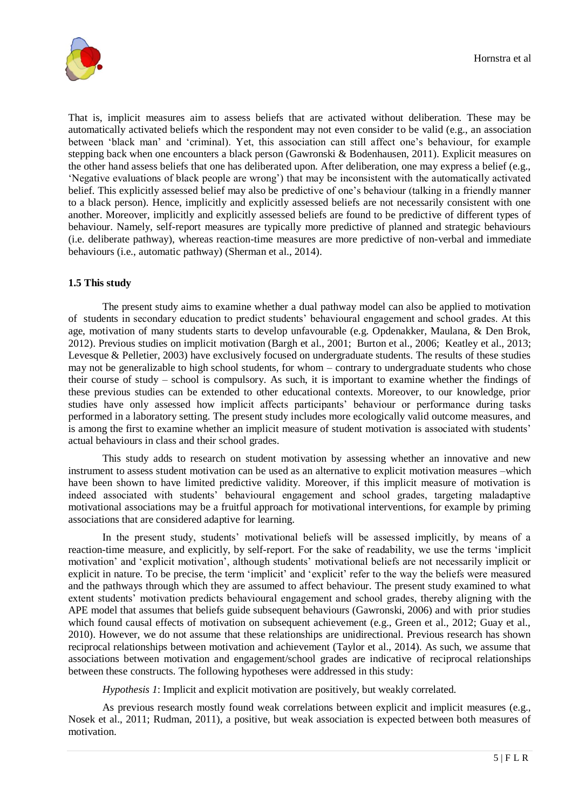

That is, implicit measures aim to assess beliefs that are activated without deliberation. These may be automatically activated beliefs which the respondent may not even consider to be valid (e.g., an association between 'black man' and 'criminal). Yet, this association can still affect one's behaviour, for example stepping back when one encounters a black person (Gawronski & Bodenhausen, 2011). Explicit measures on the other hand assess beliefs that one has deliberated upon. After deliberation, one may express a belief (e.g., 'Negative evaluations of black people are wrong') that may be inconsistent with the automatically activated belief. This explicitly assessed belief may also be predictive of one's behaviour (talking in a friendly manner to a black person). Hence, implicitly and explicitly assessed beliefs are not necessarily consistent with one another. Moreover, implicitly and explicitly assessed beliefs are found to be predictive of different types of behaviour. Namely, self-report measures are typically more predictive of planned and strategic behaviours (i.e. deliberate pathway), whereas reaction-time measures are more predictive of non-verbal and immediate behaviours (i.e., automatic pathway) (Sherman et al., 2014).

# **1.5 This study**

The present study aims to examine whether a dual pathway model can also be applied to motivation of students in secondary education to predict students' behavioural engagement and school grades. At this age, motivation of many students starts to develop unfavourable (e.g. Opdenakker, Maulana, & Den Brok, 2012). Previous studies on implicit motivation (Bargh et al., 2001; Burton et al., 2006; Keatley et al., 2013; Levesque & Pelletier, 2003) have exclusively focused on undergraduate students. The results of these studies may not be generalizable to high school students, for whom – contrary to undergraduate students who chose their course of study – school is compulsory. As such, it is important to examine whether the findings of these previous studies can be extended to other educational contexts. Moreover, to our knowledge, prior studies have only assessed how implicit affects participants' behaviour or performance during tasks performed in a laboratory setting. The present study includes more ecologically valid outcome measures, and is among the first to examine whether an implicit measure of student motivation is associated with students' actual behaviours in class and their school grades.

This study adds to research on student motivation by assessing whether an innovative and new instrument to assess student motivation can be used as an alternative to explicit motivation measures –which have been shown to have limited predictive validity. Moreover, if this implicit measure of motivation is indeed associated with students' behavioural engagement and school grades, targeting maladaptive motivational associations may be a fruitful approach for motivational interventions, for example by priming associations that are considered adaptive for learning.

In the present study, students' motivational beliefs will be assessed implicitly, by means of a reaction-time measure, and explicitly, by self-report. For the sake of readability, we use the terms 'implicit motivation' and 'explicit motivation', although students' motivational beliefs are not necessarily implicit or explicit in nature. To be precise, the term 'implicit' and 'explicit' refer to the way the beliefs were measured and the pathways through which they are assumed to affect behaviour. The present study examined to what extent students' motivation predicts behavioural engagement and school grades, thereby aligning with the APE model that assumes that beliefs guide subsequent behaviours (Gawronski, 2006) and with prior studies which found causal effects of motivation on subsequent achievement (e.g., Green et al., 2012; Guay et al., 2010). However, we do not assume that these relationships are unidirectional. Previous research has shown reciprocal relationships between motivation and achievement (Taylor et al., 2014). As such, we assume that associations between motivation and engagement/school grades are indicative of reciprocal relationships between these constructs. The following hypotheses were addressed in this study:

*Hypothesis 1*: Implicit and explicit motivation are positively, but weakly correlated.

As previous research mostly found weak correlations between explicit and implicit measures (e.g., Nosek et al., 2011; Rudman, 2011), a positive, but weak association is expected between both measures of motivation.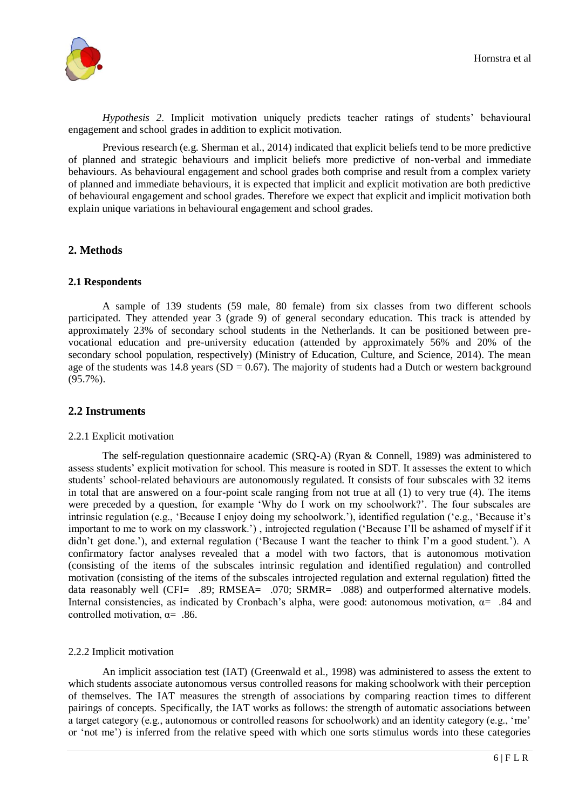

*Hypothesis 2*. Implicit motivation uniquely predicts teacher ratings of students' behavioural engagement and school grades in addition to explicit motivation.

Previous research (e.g. Sherman et al., 2014) indicated that explicit beliefs tend to be more predictive of planned and strategic behaviours and implicit beliefs more predictive of non-verbal and immediate behaviours. As behavioural engagement and school grades both comprise and result from a complex variety of planned and immediate behaviours, it is expected that implicit and explicit motivation are both predictive of behavioural engagement and school grades. Therefore we expect that explicit and implicit motivation both explain unique variations in behavioural engagement and school grades.

# **2. Methods**

# **2.1 Respondents**

A sample of 139 students (59 male, 80 female) from six classes from two different schools participated. They attended year 3 (grade 9) of general secondary education. This track is attended by approximately 23% of secondary school students in the Netherlands. It can be positioned between prevocational education and pre-university education (attended by approximately 56% and 20% of the secondary school population, respectively) (Ministry of Education, Culture, and Science, 2014). The mean age of the students was  $14.8$  years (SD = 0.67). The majority of students had a Dutch or western background (95.7%).

# **2.2 Instruments**

#### 2.2.1 Explicit motivation

The self-regulation questionnaire academic (SRQ-A) (Ryan & Connell, 1989) was administered to assess students' explicit motivation for school. This measure is rooted in SDT. It assesses the extent to which students' school-related behaviours are autonomously regulated. It consists of four subscales with 32 items in total that are answered on a four-point scale ranging from not true at all (1) to very true (4). The items were preceded by a question, for example 'Why do I work on my schoolwork?'. The four subscales are intrinsic regulation (e.g., 'Because I enjoy doing my schoolwork.'), identified regulation ('e.g., 'Because it's important to me to work on my classwork.') , introjected regulation ('Because I'll be ashamed of myself if it didn't get done.'), and external regulation ('Because I want the teacher to think I'm a good student.'). A confirmatory factor analyses revealed that a model with two factors, that is autonomous motivation (consisting of the items of the subscales intrinsic regulation and identified regulation) and controlled motivation (consisting of the items of the subscales introjected regulation and external regulation) fitted the data reasonably well (CFI= .89; RMSEA= .070; SRMR= .088) and outperformed alternative models. Internal consistencies, as indicated by Cronbach's alpha, were good: autonomous motivation,  $\alpha = 0.84$  and controlled motivation,  $\alpha$ = .86.

# 2.2.2 Implicit motivation

An implicit association test (IAT) (Greenwald et al., 1998) was administered to assess the extent to which students associate autonomous versus controlled reasons for making schoolwork with their perception of themselves. The IAT measures the strength of associations by comparing reaction times to different pairings of concepts. Specifically, the IAT works as follows: the strength of automatic associations between a target category (e.g., autonomous or controlled reasons for schoolwork) and an identity category (e.g., 'me' or 'not me') is inferred from the relative speed with which one sorts stimulus words into these categories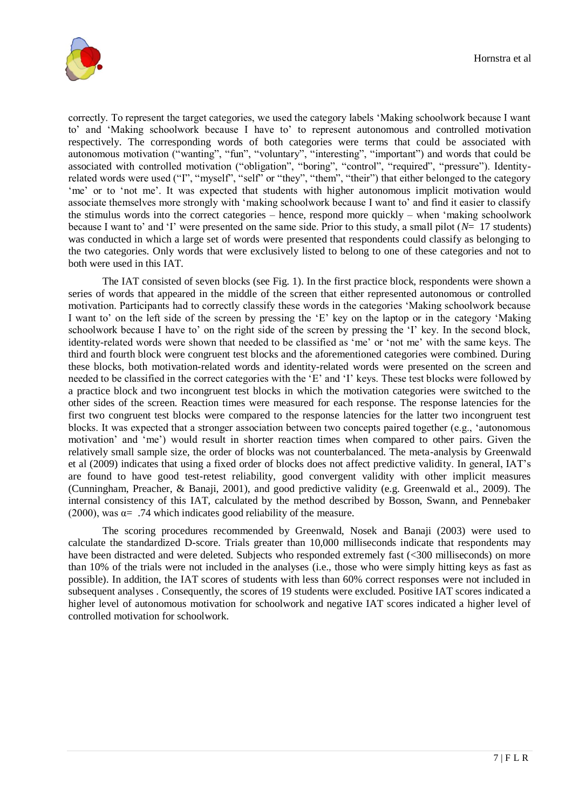

correctly. To represent the target categories, we used the category labels 'Making schoolwork because I want to' and 'Making schoolwork because I have to' to represent autonomous and controlled motivation respectively. The corresponding words of both categories were terms that could be associated with autonomous motivation ("wanting", "fun", "voluntary", "interesting", "important") and words that could be associated with controlled motivation ("obligation", "boring", "control", "required", "pressure"). Identityrelated words were used ("I", "myself", "self" or "they", "them", "their") that either belonged to the category 'me' or to 'not me'. It was expected that students with higher autonomous implicit motivation would associate themselves more strongly with 'making schoolwork because I want to' and find it easier to classify the stimulus words into the correct categories – hence, respond more quickly – when 'making schoolwork because I want to' and 'I' were presented on the same side. Prior to this study, a small pilot (*N*= 17 students) was conducted in which a large set of words were presented that respondents could classify as belonging to the two categories. Only words that were exclusively listed to belong to one of these categories and not to both were used in this IAT.

The IAT consisted of seven blocks (see Fig. 1). In the first practice block, respondents were shown a series of words that appeared in the middle of the screen that either represented autonomous or controlled motivation. Participants had to correctly classify these words in the categories 'Making schoolwork because I want to' on the left side of the screen by pressing the 'E' key on the laptop or in the category 'Making schoolwork because I have to' on the right side of the screen by pressing the 'I' key. In the second block, identity-related words were shown that needed to be classified as 'me' or 'not me' with the same keys. The third and fourth block were congruent test blocks and the aforementioned categories were combined. During these blocks, both motivation-related words and identity-related words were presented on the screen and needed to be classified in the correct categories with the 'E' and 'I' keys. These test blocks were followed by a practice block and two incongruent test blocks in which the motivation categories were switched to the other sides of the screen. Reaction times were measured for each response. The response latencies for the first two congruent test blocks were compared to the response latencies for the latter two incongruent test blocks. It was expected that a stronger association between two concepts paired together (e.g., 'autonomous motivation' and 'me') would result in shorter reaction times when compared to other pairs. Given the relatively small sample size, the order of blocks was not counterbalanced. The meta-analysis by Greenwald et al (2009) indicates that using a fixed order of blocks does not affect predictive validity. In general, IAT's are found to have good test-retest reliability, good convergent validity with other implicit measures (Cunningham, Preacher, & Banaji, 2001), and good predictive validity (e.g. Greenwald et al., 2009). The internal consistency of this IAT, calculated by the method described by Bosson, Swann, and Pennebaker (2000), was  $\alpha = .74$  which indicates good reliability of the measure.

The scoring procedures recommended by Greenwald, Nosek and Banaji (2003) were used to calculate the standardized D-score. Trials greater than 10,000 milliseconds indicate that respondents may have been distracted and were deleted. Subjects who responded extremely fast (<300 milliseconds) on more than 10% of the trials were not included in the analyses (i.e., those who were simply hitting keys as fast as possible). In addition, the IAT scores of students with less than 60% correct responses were not included in subsequent analyses . Consequently, the scores of 19 students were excluded. Positive IAT scores indicated a higher level of autonomous motivation for schoolwork and negative IAT scores indicated a higher level of controlled motivation for schoolwork.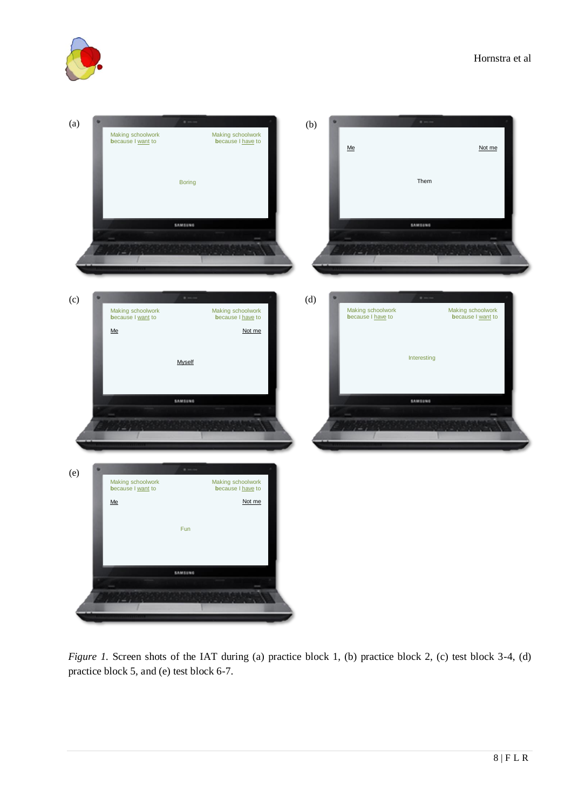



*Figure 1.* Screen shots of the IAT during (a) practice block 1, (b) practice block 2, (c) test block 3-4, (d) practice block 5, and (e) test block 6-7.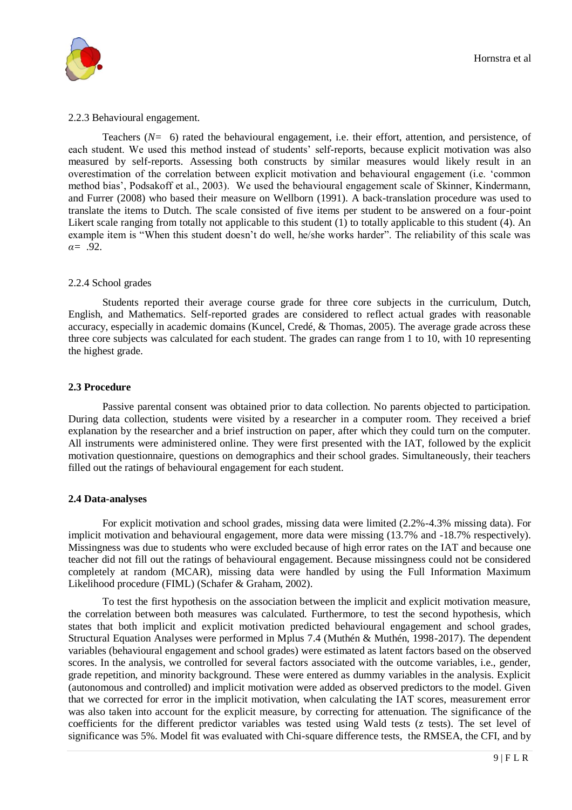

#### 2.2.3 Behavioural engagement.

Teachers (*N=* 6) rated the behavioural engagement, i.e. their effort, attention, and persistence, of each student. We used this method instead of students' self-reports, because explicit motivation was also measured by self-reports. Assessing both constructs by similar measures would likely result in an overestimation of the correlation between explicit motivation and behavioural engagement (i.e. 'common method bias', Podsakoff et al., 2003). We used the behavioural engagement scale of Skinner, Kindermann, and Furrer (2008) who based their measure on Wellborn (1991). A back-translation procedure was used to translate the items to Dutch. The scale consisted of five items per student to be answered on a four-point Likert scale ranging from totally not applicable to this student  $(1)$  to totally applicable to this student  $(4)$ . An example item is "When this student doesn't do well, he/she works harder". The reliability of this scale was *α=* .92.

#### 2.2.4 School grades

Students reported their average course grade for three core subjects in the curriculum, Dutch, English, and Mathematics. Self-reported grades are considered to reflect actual grades with reasonable accuracy, especially in academic domains (Kuncel, Credé, & Thomas, 2005). The average grade across these three core subjects was calculated for each student. The grades can range from 1 to 10, with 10 representing the highest grade.

#### **2.3 Procedure**

Passive parental consent was obtained prior to data collection. No parents objected to participation. During data collection, students were visited by a researcher in a computer room. They received a brief explanation by the researcher and a brief instruction on paper, after which they could turn on the computer. All instruments were administered online. They were first presented with the IAT, followed by the explicit motivation questionnaire, questions on demographics and their school grades. Simultaneously, their teachers filled out the ratings of behavioural engagement for each student.

#### **2.4 Data-analyses**

For explicit motivation and school grades, missing data were limited (2.2%-4.3% missing data). For implicit motivation and behavioural engagement, more data were missing (13.7% and -18.7% respectively). Missingness was due to students who were excluded because of high error rates on the IAT and because one teacher did not fill out the ratings of behavioural engagement. Because missingness could not be considered completely at random (MCAR), missing data were handled by using the Full Information Maximum Likelihood procedure (FIML) (Schafer & Graham, 2002).

To test the first hypothesis on the association between the implicit and explicit motivation measure, the correlation between both measures was calculated. Furthermore, to test the second hypothesis, which states that both implicit and explicit motivation predicted behavioural engagement and school grades, Structural Equation Analyses were performed in Mplus 7.4 (Muthén & Muthén, 1998-2017). The dependent variables (behavioural engagement and school grades) were estimated as latent factors based on the observed scores. In the analysis, we controlled for several factors associated with the outcome variables, i.e., gender, grade repetition, and minority background. These were entered as dummy variables in the analysis. Explicit (autonomous and controlled) and implicit motivation were added as observed predictors to the model. Given that we corrected for error in the implicit motivation, when calculating the IAT scores, measurement error was also taken into account for the explicit measure, by correcting for attenuation. The significance of the coefficients for the different predictor variables was tested using Wald tests (z tests). The set level of significance was 5%. Model fit was evaluated with Chi-square difference tests, the RMSEA, the CFI, and by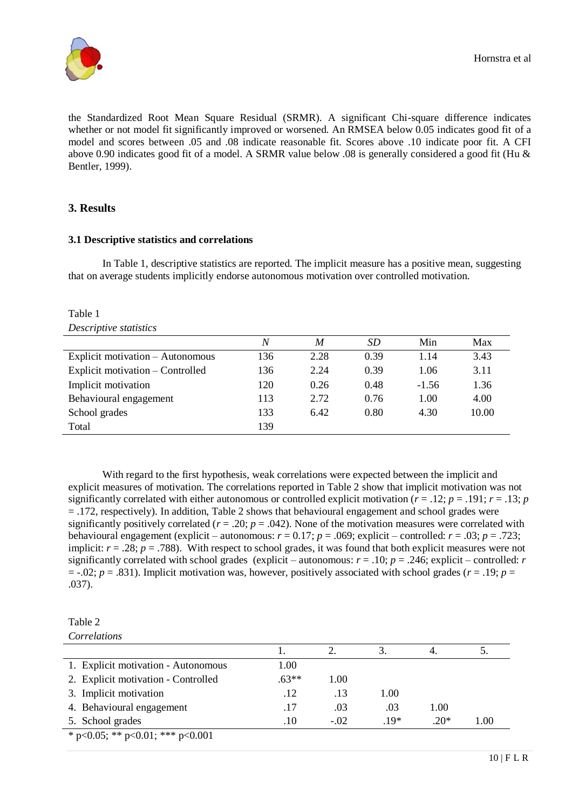

the Standardized Root Mean Square Residual (SRMR). A significant Chi-square difference indicates whether or not model fit significantly improved or worsened. An RMSEA below 0.05 indicates good fit of a model and scores between .05 and .08 indicate reasonable fit. Scores above .10 indicate poor fit. A CFI above 0.90 indicates good fit of a model. A SRMR value below .08 is generally considered a good fit (Hu & Bentler, 1999).

# **3. Results**

# **3.1 Descriptive statistics and correlations**

In Table 1, descriptive statistics are reported. The implicit measure has a positive mean, suggesting that on average students implicitly endorse autonomous motivation over controlled motivation.

| Table 1                          |     |                  |           |         |       |
|----------------------------------|-----|------------------|-----------|---------|-------|
| Descriptive statistics           |     |                  |           |         |       |
|                                  | N   | $\boldsymbol{M}$ | <i>SD</i> | Min     | Max   |
| Explicit motivation - Autonomous | 136 | 2.28             | 0.39      | 1.14    | 3.43  |
| Explicit motivation – Controlled | 136 | 2.24             | 0.39      | 1.06    | 3.11  |
| Implicit motivation              | 120 | 0.26             | 0.48      | $-1.56$ | 1.36  |
| Behavioural engagement           | 113 | 2.72             | 0.76      | 1.00    | 4.00  |
| School grades                    | 133 | 6.42             | 0.80      | 4.30    | 10.00 |
| Total                            | 139 |                  |           |         |       |
|                                  |     |                  |           |         |       |

With regard to the first hypothesis, weak correlations were expected between the implicit and explicit measures of motivation. The correlations reported in Table 2 show that implicit motivation was not significantly correlated with either autonomous or controlled explicit motivation ( $r = .12$ ;  $p = .191$ ;  $r = .13$ ;  $p = .191$ = .172, respectively). In addition, Table 2 shows that behavioural engagement and school grades were significantly positively correlated ( $r = .20$ ;  $p = .042$ ). None of the motivation measures were correlated with behavioural engagement (explicit – autonomous:  $r = 0.17$ ;  $p = .069$ ; explicit – controlled:  $r = .03$ ;  $p = .723$ ; implicit:  $r = .28$ ;  $p = .788$ ). With respect to school grades, it was found that both explicit measures were not significantly correlated with school grades (explicit – autonomous:  $r = .10$ ;  $p = .246$ ; explicit – controlled: *r*  $=$  -.02; *p* = .831). Implicit motivation was, however, positively associated with school grades (*r* = .19; *p* = .037).

| Table 2                             |         |        |        |        |      |
|-------------------------------------|---------|--------|--------|--------|------|
| Correlations                        |         |        |        |        |      |
|                                     |         | 2.     | 3.     | 4.     |      |
| 1. Explicit motivation - Autonomous | 1.00    |        |        |        |      |
| 2. Explicit motivation - Controlled | $.63**$ | 1.00   |        |        |      |
| 3. Implicit motivation              | .12     | .13    | 1.00   |        |      |
| 4. Behavioural engagement           | .17     | .03    | .03    | 1.00   |      |
| 5. School grades                    | .10     | $-.02$ | $.19*$ | $.20*$ | 1.00 |
| * p<0.05; ** p<0.01; *** p<0.001    |         |        |        |        |      |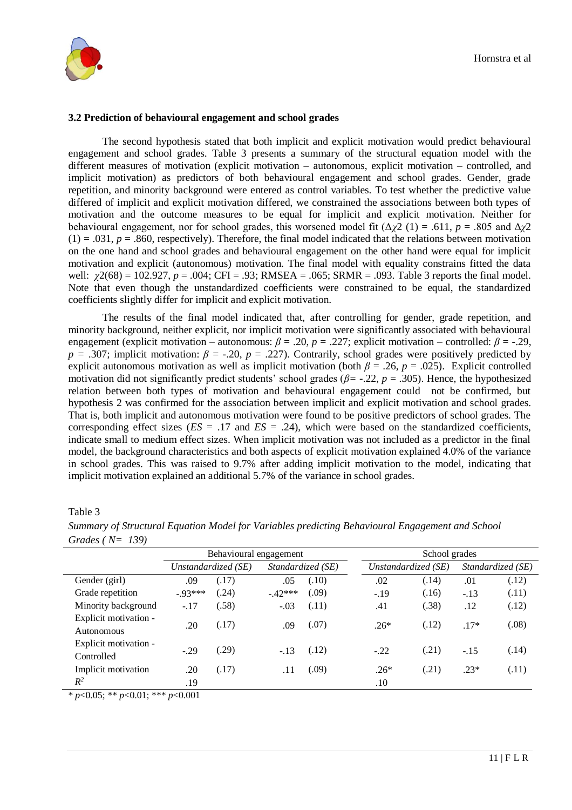

#### **3.2 Prediction of behavioural engagement and school grades**

The second hypothesis stated that both implicit and explicit motivation would predict behavioural engagement and school grades. Table 3 presents a summary of the structural equation model with the different measures of motivation (explicit motivation – autonomous, explicit motivation – controlled, and implicit motivation) as predictors of both behavioural engagement and school grades. Gender, grade repetition, and minority background were entered as control variables. To test whether the predictive value differed of implicit and explicit motivation differed, we constrained the associations between both types of motivation and the outcome measures to be equal for implicit and explicit motivation. Neither for behavioural engagement, nor for school grades, this worsened model fit  $(\Delta \chi^2 (1) = .611, p = .805$  and  $\Delta \chi^2$  $(1) = .031$ ,  $p = .860$ , respectively). Therefore, the final model indicated that the relations between motivation on the one hand and school grades and behavioural engagement on the other hand were equal for implicit motivation and explicit (autonomous) motivation. The final model with equality constrains fitted the data well: *χ*2(68) = 102.927, *p* = .004; CFI = .93; RMSEA = .065; SRMR = .093. Table 3 reports the final model. Note that even though the unstandardized coefficients were constrained to be equal, the standardized coefficients slightly differ for implicit and explicit motivation.

The results of the final model indicated that, after controlling for gender, grade repetition, and minority background, neither explicit, nor implicit motivation were significantly associated with behavioural engagement (explicit motivation – autonomous:  $\beta = .20$ ,  $p = .227$ ; explicit motivation – controlled:  $\beta = -.29$ ,  $p = 0.307$ ; implicit motivation:  $\beta = 0.20$ ,  $p = 0.227$ . Contrarily, school grades were positively predicted by explicit autonomous motivation as well as implicit motivation (both  $\beta = .26$ ,  $p = .025$ ). Explicit controlled motivation did not significantly predict students' school grades (*β=* -.22, *p* = .305). Hence, the hypothesized relation between both types of motivation and behavioural engagement could not be confirmed, but hypothesis 2 was confirmed for the association between implicit and explicit motivation and school grades. That is, both implicit and autonomous motivation were found to be positive predictors of school grades. The corresponding effect sizes  $(ES = .17$  and  $ES = .24)$ , which were based on the standardized coefficients, indicate small to medium effect sizes. When implicit motivation was not included as a predictor in the final model, the background characteristics and both aspects of explicit motivation explained 4.0% of the variance in school grades. This was raised to 9.7% after adding implicit motivation to the model, indicating that implicit motivation explained an additional 5.7% of the variance in school grades.

### Table 3

|                       | Behavioural engagement |                     |                   |        | School grades |                     |       |                   |       |
|-----------------------|------------------------|---------------------|-------------------|--------|---------------|---------------------|-------|-------------------|-------|
|                       |                        | Unstandardized (SE) | Standardized (SE) |        |               | Unstandardized (SE) |       | Standardized (SE) |       |
| Gender (girl)         | .09                    | (.17)               | .05               | (.10)  |               | .02                 | (.14) | .01               | (.12) |
| Grade repetition      | $-93***$               | (.24)               | $-.42***$         | (.09)  |               | $-.19$              | (.16) | $-.13$            | (.11) |
| Minority background   | $-.17$                 | (.58)               | $-.03$            | (.11)  |               | .41                 | (.38) | .12               | (.12) |
| Explicit motivation - | .20                    | (.17)               | .09               | (.07)  |               | $.26*$              | (.12) | $.17*$            | (.08) |
| Autonomous            |                        |                     |                   |        |               |                     |       |                   |       |
| Explicit motivation - | $-.29$                 | (.29)               | $-.13$            | (.12)  |               | $-.22$              | (.21) | $-.15$            | (.14) |
| Controlled            |                        |                     |                   |        |               |                     |       |                   |       |
| Implicit motivation   | .20                    | (.17)               | .11               | (0.09) |               | $.26*$              | (.21) | $.23*$            | (.11) |
| $R^2$                 | .19                    |                     |                   |        |               | .10                 |       |                   |       |

*Summary of Structural Equation Model for Variables predicting Behavioural Engagement and School Grades ( N= 139)*

\* *p*<0.05; \*\* *p*<0.01; \*\*\* *p*<0.001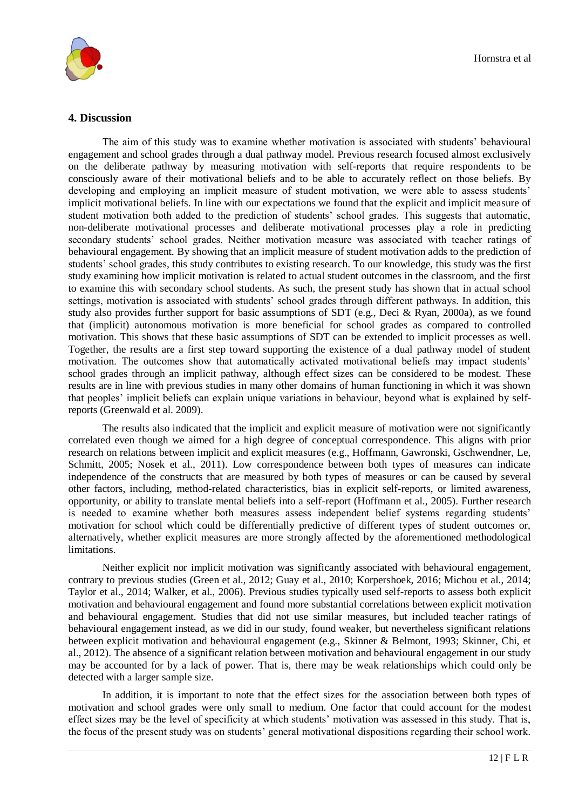

# **4. Discussion**

The aim of this study was to examine whether motivation is associated with students' behavioural engagement and school grades through a dual pathway model. Previous research focused almost exclusively on the deliberate pathway by measuring motivation with self-reports that require respondents to be consciously aware of their motivational beliefs and to be able to accurately reflect on those beliefs. By developing and employing an implicit measure of student motivation, we were able to assess students' implicit motivational beliefs. In line with our expectations we found that the explicit and implicit measure of student motivation both added to the prediction of students' school grades. This suggests that automatic, non-deliberate motivational processes and deliberate motivational processes play a role in predicting secondary students' school grades. Neither motivation measure was associated with teacher ratings of behavioural engagement. By showing that an implicit measure of student motivation adds to the prediction of students' school grades, this study contributes to existing research. To our knowledge, this study was the first study examining how implicit motivation is related to actual student outcomes in the classroom, and the first to examine this with secondary school students. As such, the present study has shown that in actual school settings, motivation is associated with students' school grades through different pathways. In addition, this study also provides further support for basic assumptions of SDT (e.g., Deci & Ryan, 2000a), as we found that (implicit) autonomous motivation is more beneficial for school grades as compared to controlled motivation. This shows that these basic assumptions of SDT can be extended to implicit processes as well. Together, the results are a first step toward supporting the existence of a dual pathway model of student motivation. The outcomes show that automatically activated motivational beliefs may impact students' school grades through an implicit pathway, although effect sizes can be considered to be modest. These results are in line with previous studies in many other domains of human functioning in which it was shown that peoples' implicit beliefs can explain unique variations in behaviour, beyond what is explained by selfreports (Greenwald et al. 2009).

The results also indicated that the implicit and explicit measure of motivation were not significantly correlated even though we aimed for a high degree of conceptual correspondence. This aligns with prior research on relations between implicit and explicit measures (e.g., Hoffmann, Gawronski, Gschwendner, Le, Schmitt, 2005; Nosek et al., 2011). Low correspondence between both types of measures can indicate independence of the constructs that are measured by both types of measures or can be caused by several other factors, including, method-related characteristics, bias in explicit self-reports, or limited awareness, opportunity, or ability to translate mental beliefs into a self-report (Hoffmann et al., 2005). Further research is needed to examine whether both measures assess independent belief systems regarding students' motivation for school which could be differentially predictive of different types of student outcomes or, alternatively, whether explicit measures are more strongly affected by the aforementioned methodological limitations.

Neither explicit nor implicit motivation was significantly associated with behavioural engagement, contrary to previous studies (Green et al., 2012; Guay et al., 2010; Korpershoek, 2016; Michou et al., 2014; Taylor et al., 2014; Walker, et al., 2006). Previous studies typically used self-reports to assess both explicit motivation and behavioural engagement and found more substantial correlations between explicit motivation and behavioural engagement. Studies that did not use similar measures, but included teacher ratings of behavioural engagement instead, as we did in our study, found weaker, but nevertheless significant relations between explicit motivation and behavioural engagement (e.g., Skinner & Belmont, 1993; Skinner, Chi, et al., 2012). The absence of a significant relation between motivation and behavioural engagement in our study may be accounted for by a lack of power. That is, there may be weak relationships which could only be detected with a larger sample size.

In addition, it is important to note that the effect sizes for the association between both types of motivation and school grades were only small to medium. One factor that could account for the modest effect sizes may be the level of specificity at which students' motivation was assessed in this study. That is, the focus of the present study was on students' general motivational dispositions regarding their school work.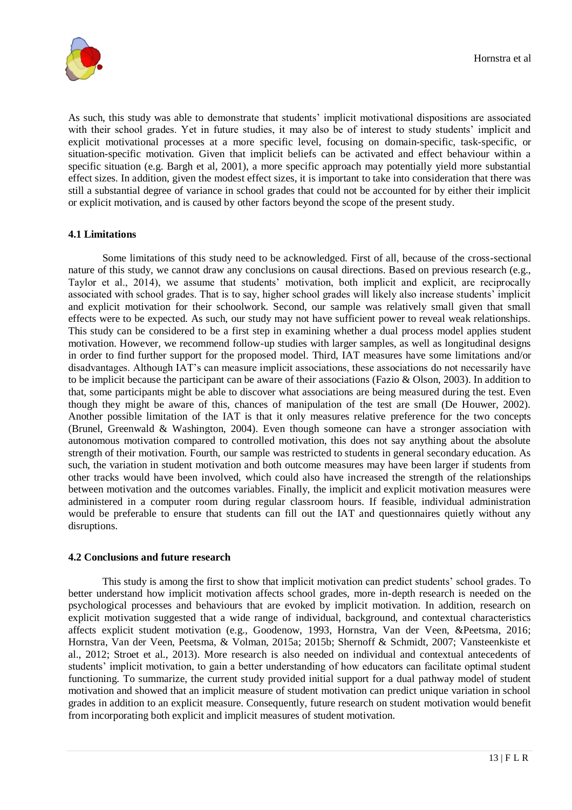As such, this study was able to demonstrate that students' implicit motivational dispositions are associated with their school grades. Yet in future studies, it may also be of interest to study students' implicit and explicit motivational processes at a more specific level, focusing on domain-specific, task-specific, or situation-specific motivation. Given that implicit beliefs can be activated and effect behaviour within a specific situation (e.g. Bargh et al, 2001), a more specific approach may potentially yield more substantial effect sizes. In addition, given the modest effect sizes, it is important to take into consideration that there was still a substantial degree of variance in school grades that could not be accounted for by either their implicit or explicit motivation, and is caused by other factors beyond the scope of the present study.

# **4.1 Limitations**

Some limitations of this study need to be acknowledged. First of all, because of the cross-sectional nature of this study, we cannot draw any conclusions on causal directions. Based on previous research (e.g., Taylor et al., 2014), we assume that students' motivation, both implicit and explicit, are reciprocally associated with school grades. That is to say, higher school grades will likely also increase students' implicit and explicit motivation for their schoolwork. Second, our sample was relatively small given that small effects were to be expected. As such, our study may not have sufficient power to reveal weak relationships. This study can be considered to be a first step in examining whether a dual process model applies student motivation. However, we recommend follow-up studies with larger samples, as well as longitudinal designs in order to find further support for the proposed model. Third, IAT measures have some limitations and/or disadvantages. Although IAT's can measure implicit associations, these associations do not necessarily have to be implicit because the participant can be aware of their associations (Fazio & Olson, 2003). In addition to that, some participants might be able to discover what associations are being measured during the test. Even though they might be aware of this, chances of manipulation of the test are small (De Houwer, 2002). Another possible limitation of the IAT is that it only measures relative preference for the two concepts (Brunel, Greenwald & Washington, 2004). Even though someone can have a stronger association with autonomous motivation compared to controlled motivation, this does not say anything about the absolute strength of their motivation. Fourth, our sample was restricted to students in general secondary education. As such, the variation in student motivation and both outcome measures may have been larger if students from other tracks would have been involved, which could also have increased the strength of the relationships between motivation and the outcomes variables. Finally, the implicit and explicit motivation measures were administered in a computer room during regular classroom hours. If feasible, individual administration would be preferable to ensure that students can fill out the IAT and questionnaires quietly without any disruptions.

#### **4.2 Conclusions and future research**

This study is among the first to show that implicit motivation can predict students' school grades. To better understand how implicit motivation affects school grades, more in-depth research is needed on the psychological processes and behaviours that are evoked by implicit motivation. In addition, research on explicit motivation suggested that a wide range of individual, background, and contextual characteristics affects explicit student motivation (e.g., Goodenow, 1993, Hornstra, Van der Veen, &Peetsma, 2016; Hornstra, Van der Veen, Peetsma, & Volman, 2015a; 2015b; Shernoff & Schmidt, 2007; Vansteenkiste et al., 2012; Stroet et al., 2013). More research is also needed on individual and contextual antecedents of students' implicit motivation, to gain a better understanding of how educators can facilitate optimal student functioning. To summarize, the current study provided initial support for a dual pathway model of student motivation and showed that an implicit measure of student motivation can predict unique variation in school grades in addition to an explicit measure. Consequently, future research on student motivation would benefit from incorporating both explicit and implicit measures of student motivation.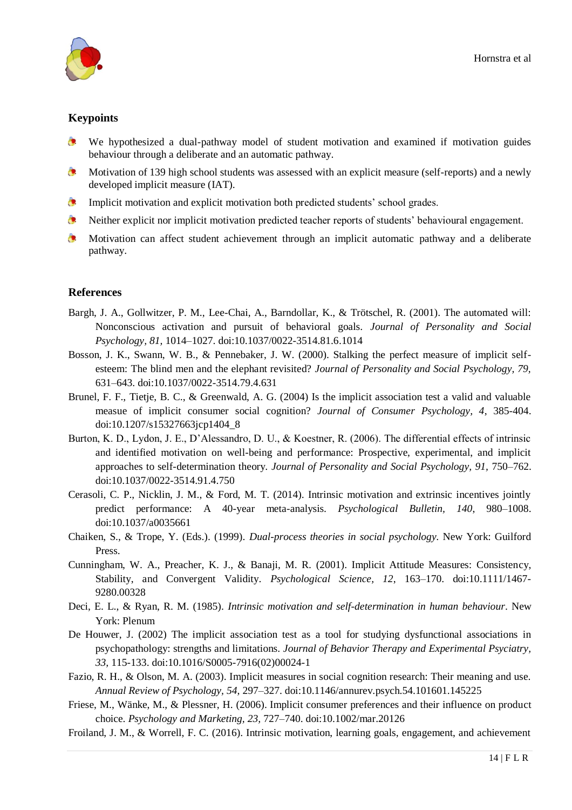

# **Keypoints**

- We hypothesized a dual-pathway model of student motivation and examined if motivation guides behaviour through a deliberate and an automatic pathway.
- $\bullet$ Motivation of 139 high school students was assessed with an explicit measure (self-reports) and a newly developed implicit measure (IAT).
- $\bullet$ Implicit motivation and explicit motivation both predicted students' school grades.
- $\bullet$ Neither explicit nor implicit motivation predicted teacher reports of students' behavioural engagement.
- $\bullet$ Motivation can affect student achievement through an implicit automatic pathway and a deliberate pathway.

# **References**

- Bargh, J. A., Gollwitzer, P. M., Lee-Chai, A., Barndollar, K., & Trötschel, R. (2001). The automated will: Nonconscious activation and pursuit of behavioral goals. *Journal of Personality and Social Psychology, 81,* 1014–1027. doi:10.1037/0022-3514.81.6.1014
- Bosson, J. K., Swann, W. B., & Pennebaker, J. W. (2000). Stalking the perfect measure of implicit selfesteem: The blind men and the elephant revisited? *Journal of Personality and Social Psychology, 79,*  631–643. doi:10.1037/0022-3514.79.4.631
- Brunel, F. F., Tietje, B. C., & Greenwald, A. G. (2004) Is the implicit association test a valid and valuable measue of implicit consumer social cognition? *Journal of Consumer Psychology, 4*, 385-404. doi:10.1207/s15327663jcp1404\_8
- Burton, K. D., Lydon, J. E., D'Alessandro, D. U., & Koestner, R. (2006). The differential effects of intrinsic and identified motivation on well-being and performance: Prospective, experimental, and implicit approaches to self-determination theory*. Journal of Personality and Social Psychology, 91,* 750–762. doi:10.1037/0022-3514.91.4.750
- Cerasoli, C. P., Nicklin, J. M., & Ford, M. T. (2014). Intrinsic motivation and extrinsic incentives jointly predict performance: A 40-year meta-analysis. *Psychological Bulletin, 140*, 980–1008. doi:10.1037/a0035661
- Chaiken, S., & Trope, Y. (Eds.). (1999). *Dual-process theories in social psychology.* New York: Guilford Press.
- Cunningham, W. A., Preacher, K. J., & Banaji, M. R. (2001). Implicit Attitude Measures: Consistency, Stability, and Convergent Validity. *Psychological Science, 12*, 163–170. doi:10.1111/1467- 9280.00328
- Deci, E. L., & Ryan, R. M. (1985). *Intrinsic motivation and self-determination in human behaviour*. New York: Plenum
- De Houwer, J. (2002) The implicit association test as a tool for studying dysfunctional associations in psychopathology: strengths and limitations. *Journal of Behavior Therapy and Experimental Psyciatry, 33,* 115-133. doi:10.1016/S0005-7916(02)00024-1
- Fazio, R. H., & Olson, M. A. (2003). Implicit measures in social cognition research: Their meaning and use. *Annual Review of Psychology, 54,* 297–327. doi:10.1146/annurev.psych.54.101601.145225
- Friese, M., Wänke, M., & Plessner, H. (2006). Implicit consumer preferences and their influence on product choice. *Psychology and Marketing, 23,* 727–740. doi:10.1002/mar.20126
- Froiland, J. M., & Worrell, F. C. (2016). Intrinsic motivation, learning goals, engagement, and achievement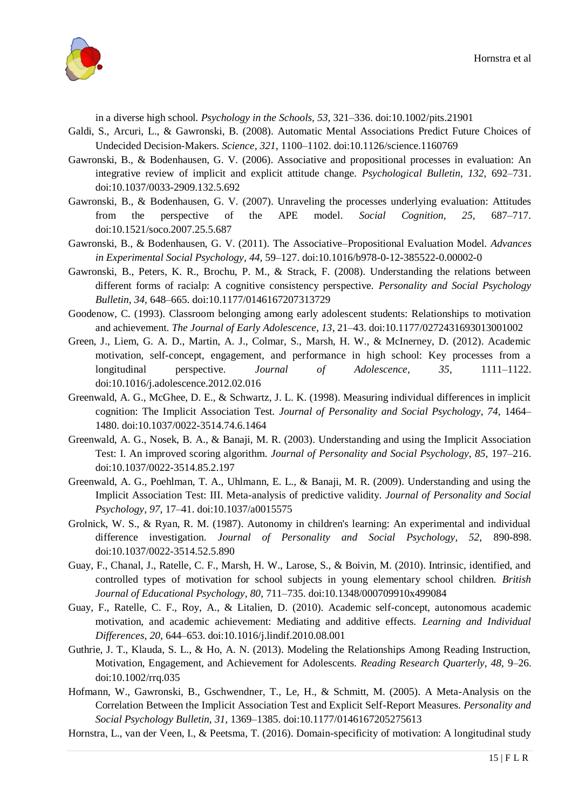

in a diverse high school. *Psychology in the Schools, 53,* 321–336. doi:10.1002/pits.21901

- Galdi, S., Arcuri, L., & Gawronski, B. (2008). Automatic Mental Associations Predict Future Choices of Undecided Decision-Makers. *Science, 321,* 1100–1102. doi:10.1126/science.1160769
- Gawronski, B., & Bodenhausen, G. V. (2006). Associative and propositional processes in evaluation: An integrative review of implicit and explicit attitude change. *Psychological Bulletin, 132,* 692–731. doi:10.1037/0033-2909.132.5.692
- Gawronski, B., & Bodenhausen, G. V. (2007). Unraveling the processes underlying evaluation: Attitudes from the perspective of the APE model. *Social Cognition, 25,* 687–717. doi:10.1521/soco.2007.25.5.687
- Gawronski, B., & Bodenhausen, G. V. (2011). The Associative–Propositional Evaluation Model. *Advances in Experimental Social Psychology, 44,* 59–127. doi:10.1016/b978-0-12-385522-0.00002-0
- Gawronski, B., Peters, K. R., Brochu, P. M., & Strack, F. (2008). Understanding the relations between different forms of racialp: A cognitive consistency perspective. *Personality and Social Psychology Bulletin, 34,* 648–665. doi:10.1177/0146167207313729
- Goodenow, C. (1993). Classroom belonging among early adolescent students: Relationships to motivation and achievement. *The Journal of Early Adolescence, 13*, 21–43. doi:10.1177/0272431693013001002
- Green, J., Liem, G. A. D., Martin, A. J., Colmar, S., Marsh, H. W., & McInerney, D. (2012). Academic motivation, self-concept, engagement, and performance in high school: Key processes from a longitudinal perspective. *Journal of Adolescence, 35,* 1111–1122. doi:10.1016/j.adolescence.2012.02.016
- Greenwald, A. G., McGhee, D. E., & Schwartz, J. L. K. (1998). Measuring individual differences in implicit cognition: The Implicit Association Test. *Journal of Personality and Social Psychology, 74,* 1464– 1480. doi:10.1037/0022-3514.74.6.1464
- Greenwald, A. G., Nosek, B. A., & Banaji, M. R. (2003). Understanding and using the Implicit Association Test: I. An improved scoring algorithm. *Journal of Personality and Social Psychology, 85,* 197–216. doi:10.1037/0022-3514.85.2.197
- Greenwald, A. G., Poehlman, T. A., Uhlmann, E. L., & Banaji, M. R. (2009). Understanding and using the Implicit Association Test: III. Meta-analysis of predictive validity. *Journal of Personality and Social Psychology, 97,* 17–41. doi:10.1037/a0015575
- Grolnick, W. S., & Ryan, R. M. (1987). Autonomy in children's learning: An experimental and individual difference investigation. *Journal of Personality and Social Psychology, 52,* 890-898. doi:10.1037/0022-3514.52.5.890
- Guay, F., Chanal, J., Ratelle, C. F., Marsh, H. W., Larose, S., & Boivin, M. (2010). Intrinsic, identified, and controlled types of motivation for school subjects in young elementary school children. *British Journal of Educational Psychology, 80,* 711–735. doi:10.1348/000709910x499084
- Guay, F., Ratelle, C. F., Roy, A., & Litalien, D. (2010). Academic self-concept, autonomous academic motivation, and academic achievement: Mediating and additive effects. *Learning and Individual Differences, 20,* 644–653. doi:10.1016/j.lindif.2010.08.001
- Guthrie, J. T., Klauda, S. L., & Ho, A. N. (2013). Modeling the Relationships Among Reading Instruction, Motivation, Engagement, and Achievement for Adolescents. *Reading Research Quarterly, 48,* 9–26. doi:10.1002/rrq.035
- Hofmann, W., Gawronski, B., Gschwendner, T., Le, H., & Schmitt, M. (2005). A Meta-Analysis on the Correlation Between the Implicit Association Test and Explicit Self-Report Measures. *Personality and Social Psychology Bulletin, 31,* 1369–1385. doi:10.1177/0146167205275613

Hornstra, L., van der Veen, I., & Peetsma, T. (2016). Domain-specificity of motivation: A longitudinal study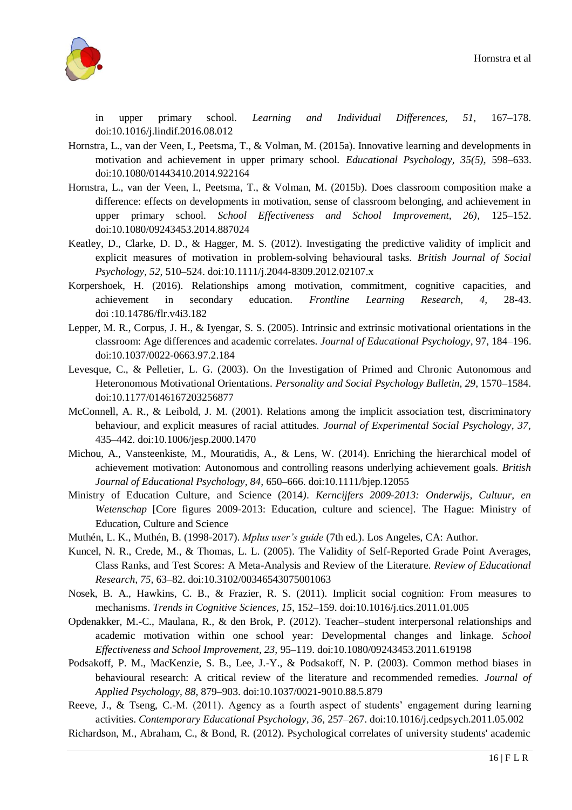

in upper primary school. *Learning and Individual Differences, 51,* 167–178. doi:10.1016/j.lindif.2016.08.012

- Hornstra, L., van der Veen, I., Peetsma, T., & Volman, M. (2015a). Innovative learning and developments in motivation and achievement in upper primary school. *Educational Psychology, 35(5),* 598–633. doi:10.1080/01443410.2014.922164
- Hornstra, L., van der Veen, I., Peetsma, T., & Volman, M. (2015b). Does classroom composition make a difference: effects on developments in motivation, sense of classroom belonging, and achievement in upper primary school. *School Effectiveness and School Improvement, 26),* 125–152. doi:10.1080/09243453.2014.887024
- Keatley, D., Clarke, D. D., & Hagger, M. S. (2012). Investigating the predictive validity of implicit and explicit measures of motivation in problem-solving behavioural tasks. *British Journal of Social Psychology, 52,* 510–524. doi:10.1111/j.2044-8309.2012.02107.x
- Korpershoek, H. (2016). Relationships among motivation, commitment, cognitive capacities, and achievement in secondary education. *Frontline Learning Research, 4,* 28-43. doi :10.14786/flr.v4i3.182
- Lepper, M. R., Corpus, J. H., & Iyengar, S. S. (2005). Intrinsic and extrinsic motivational orientations in the classroom: Age differences and academic correlates. *Journal of Educational Psychology,* 97, 184–196. doi:10.1037/0022-0663.97.2.184
- Levesque, C., & Pelletier, L. G. (2003). On the Investigation of Primed and Chronic Autonomous and Heteronomous Motivational Orientations. *Personality and Social Psychology Bulletin, 29*, 1570–1584. doi:10.1177/0146167203256877
- McConnell, A. R., & Leibold, J. M. (2001). Relations among the implicit association test, discriminatory behaviour, and explicit measures of racial attitudes. *Journal of Experimental Social Psychology, 37,* 435–442. doi:10.1006/jesp.2000.1470
- Michou, A., Vansteenkiste, M., Mouratidis, A., & Lens, W. (2014). Enriching the hierarchical model of achievement motivation: Autonomous and controlling reasons underlying achievement goals. *British Journal of Educational Psychology, 84,* 650–666. doi:10.1111/bjep.12055
- Ministry of Education Culture, and Science (2014*). Kerncijfers 2009-2013: Onderwijs, Cultuur, en Wetenschap* [Core figures 2009-2013: Education, culture and science]. The Hague: Ministry of Education, Culture and Science
- Muthén, L. K., Muthén, B. (1998-2017). *Mplus user's guide* (7th ed.). Los Angeles, CA: Author.
- Kuncel, N. R., Crede, M., & Thomas, L. L. (2005). The Validity of Self-Reported Grade Point Averages, Class Ranks, and Test Scores: A Meta-Analysis and Review of the Literature. *Review of Educational Research, 75,* 63–82. doi:10.3102/00346543075001063
- Nosek, B. A., Hawkins, C. B., & Frazier, R. S. (2011). Implicit social cognition: From measures to mechanisms. *Trends in Cognitive Sciences, 15,* 152–159. doi:10.1016/j.tics.2011.01.005
- Opdenakker, M.-C., Maulana, R., & den Brok, P. (2012). Teacher–student interpersonal relationships and academic motivation within one school year: Developmental changes and linkage. *School Effectiveness and School Improvement, 23,* 95–119. doi:10.1080/09243453.2011.619198
- Podsakoff, P. M., MacKenzie, S. B., Lee, J.-Y., & Podsakoff, N. P. (2003). Common method biases in behavioural research: A critical review of the literature and recommended remedies. *Journal of Applied Psychology, 88,* 879–903. doi:10.1037/0021-9010.88.5.879
- Reeve, J., & Tseng, C.-M. (2011). Agency as a fourth aspect of students' engagement during learning activities. *Contemporary Educational Psychology, 36,* 257–267. doi:10.1016/j.cedpsych.2011.05.002
- Richardson, M., Abraham, C., & Bond, R. (2012). Psychological correlates of university students' academic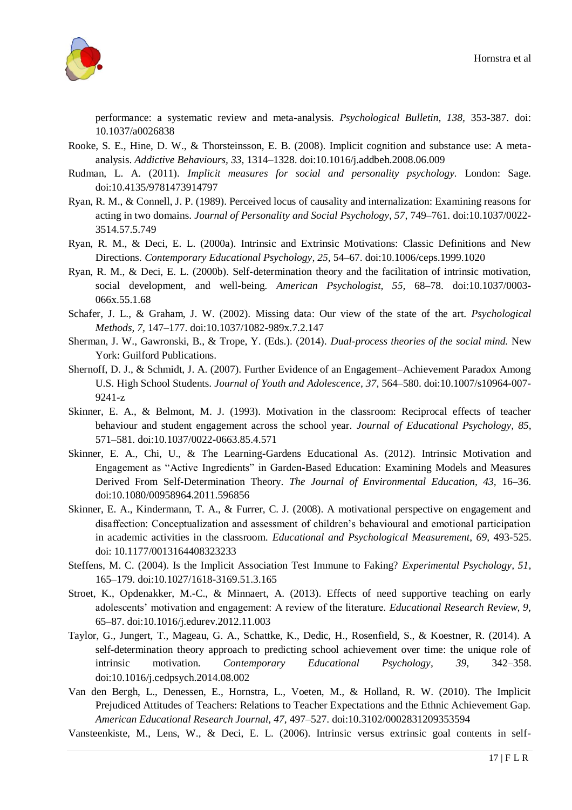

performance: a systematic review and meta-analysis. *Psychological Bulletin, 138,* 353-387. doi: 10.1037/a0026838

- Rooke, S. E., Hine, D. W., & Thorsteinsson, E. B. (2008). Implicit cognition and substance use: A metaanalysis. *Addictive Behaviours, 33,* 1314–1328. doi:10.1016/j.addbeh.2008.06.009
- Rudman, L. A. (2011). *Implicit measures for social and personality psychology.* London: Sage. doi:10.4135/9781473914797
- Ryan, R. M., & Connell, J. P. (1989). Perceived locus of causality and internalization: Examining reasons for acting in two domains. *Journal of Personality and Social Psychology, 57,* 749–761. doi:10.1037/0022- 3514.57.5.749
- Ryan, R. M., & Deci, E. L. (2000a). Intrinsic and Extrinsic Motivations: Classic Definitions and New Directions. *Contemporary Educational Psychology, 25,* 54–67. doi:10.1006/ceps.1999.1020
- Ryan, R. M., & Deci, E. L. (2000b). Self-determination theory and the facilitation of intrinsic motivation, social development, and well-being. *American Psychologist, 55,* 68–78. doi:10.1037/0003- 066x.55.1.68
- Schafer, J. L., & Graham, J. W. (2002). Missing data: Our view of the state of the art. *Psychological Methods, 7,* 147–177. doi:10.1037/1082-989x.7.2.147
- Sherman, J. W., Gawronski, B., & Trope, Y. (Eds.). (2014). *Dual-process theories of the social mind.* New York: Guilford Publications.
- Shernoff, D. J., & Schmidt, J. A. (2007). Further Evidence of an Engagement–Achievement Paradox Among U.S. High School Students. *Journal of Youth and Adolescence, 37,* 564–580. doi:10.1007/s10964-007- 9241-z
- Skinner, E. A., & Belmont, M. J. (1993). Motivation in the classroom: Reciprocal effects of teacher behaviour and student engagement across the school year. *Journal of Educational Psychology, 85,* 571–581. doi:10.1037/0022-0663.85.4.571
- Skinner, E. A., Chi, U., & The Learning-Gardens Educational As. (2012). Intrinsic Motivation and Engagement as "Active Ingredients" in Garden-Based Education: Examining Models and Measures Derived From Self-Determination Theory. *The Journal of Environmental Education, 43,* 16–36. doi:10.1080/00958964.2011.596856
- Skinner, E. A., Kindermann, T. A., & Furrer, C. J. (2008). A motivational perspective on engagement and disaffection: Conceptualization and assessment of children's behavioural and emotional participation in academic activities in the classroom. *Educational and Psychological Measurement, 69,* 493-525. doi: 10.1177/0013164408323233
- Steffens, M. C. (2004). Is the Implicit Association Test Immune to Faking? *Experimental Psychology, 51,* 165–179. doi:10.1027/1618-3169.51.3.165
- Stroet, K., Opdenakker, M.-C., & Minnaert, A. (2013). Effects of need supportive teaching on early adolescents' motivation and engagement: A review of the literature. *Educational Research Review, 9,* 65–87. doi:10.1016/j.edurev.2012.11.003
- Taylor, G., Jungert, T., Mageau, G. A., Schattke, K., Dedic, H., Rosenfield, S., & Koestner, R. (2014). A self-determination theory approach to predicting school achievement over time: the unique role of intrinsic motivation. *Contemporary Educational Psychology, 39,* 342–358. doi:10.1016/j.cedpsych.2014.08.002
- Van den Bergh, L., Denessen, E., Hornstra, L., Voeten, M., & Holland, R. W. (2010). The Implicit Prejudiced Attitudes of Teachers: Relations to Teacher Expectations and the Ethnic Achievement Gap. *American Educational Research Journal, 47,* 497–527. doi:10.3102/0002831209353594
- Vansteenkiste, M., Lens, W., & Deci, E. L. (2006). Intrinsic versus extrinsic goal contents in self-